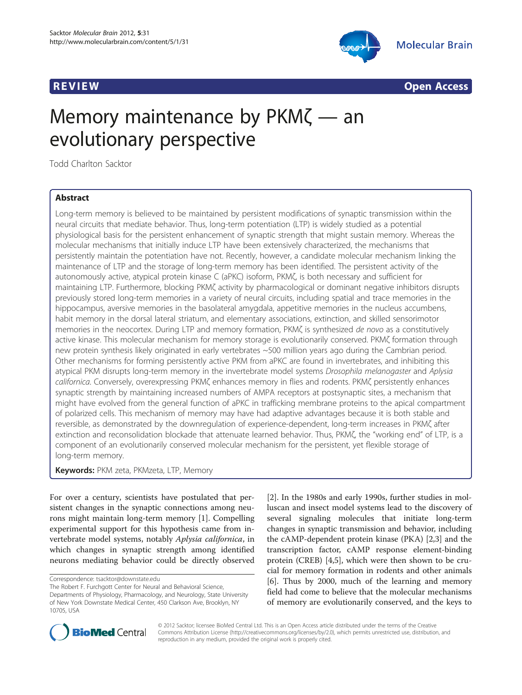

**REVIEW CONSTRUCTION CONSTRUCTION CONSTRUCTS** 

# Memory maintenance by PKMζ — an evolutionary perspective

Todd Charlton Sacktor

# Abstract

Long-term memory is believed to be maintained by persistent modifications of synaptic transmission within the neural circuits that mediate behavior. Thus, long-term potentiation (LTP) is widely studied as a potential physiological basis for the persistent enhancement of synaptic strength that might sustain memory. Whereas the molecular mechanisms that initially induce LTP have been extensively characterized, the mechanisms that persistently maintain the potentiation have not. Recently, however, a candidate molecular mechanism linking the maintenance of LTP and the storage of long-term memory has been identified. The persistent activity of the autonomously active, atypical protein kinase C (aPKC) isoform, PKMζ, is both necessary and sufficient for maintaining LTP. Furthermore, blocking PKMζ activity by pharmacological or dominant negative inhibitors disrupts previously stored long-term memories in a variety of neural circuits, including spatial and trace memories in the hippocampus, aversive memories in the basolateral amygdala, appetitive memories in the nucleus accumbens, habit memory in the dorsal lateral striatum, and elementary associations, extinction, and skilled sensorimotor memories in the neocortex. During LTP and memory formation, PKM $\zeta$  is synthesized de novo as a constitutively active kinase. This molecular mechanism for memory storage is evolutionarily conserved. PKMζ formation through new protein synthesis likely originated in early vertebrates ~500 million years ago during the Cambrian period. Other mechanisms for forming persistently active PKM from aPKC are found in invertebrates, and inhibiting this atypical PKM disrupts long-term memory in the invertebrate model systems Drosophila melanogaster and Aplysia californica. Conversely, overexpressing PKMζ enhances memory in flies and rodents. PKMζ persistently enhances synaptic strength by maintaining increased numbers of AMPA receptors at postsynaptic sites, a mechanism that might have evolved from the general function of aPKC in trafficking membrane proteins to the apical compartment of polarized cells. This mechanism of memory may have had adaptive advantages because it is both stable and reversible, as demonstrated by the downregulation of experience-dependent, long-term increases in PKMζ after extinction and reconsolidation blockade that attenuate learned behavior. Thus, PKMζ, the "working end" of LTP, is a component of an evolutionarily conserved molecular mechanism for the persistent, yet flexible storage of long-term memory.

Keywords: PKM zeta, PKMzeta, LTP, Memory

For over a century, scientists have postulated that persistent changes in the synaptic connections among neurons might maintain long-term memory [[1](#page-7-0)]. Compelling experimental support for this hypothesis came from invertebrate model systems, notably Aplysia californica, in which changes in synaptic strength among identified neurons mediating behavior could be directly observed

[[2\]](#page-7-0). In the 1980s and early 1990s, further studies in molluscan and insect model systems lead to the discovery of several signaling molecules that initiate long-term changes in synaptic transmission and behavior, including the cAMP-dependent protein kinase (PKA) [\[2,3](#page-7-0)] and the transcription factor, cAMP response element-binding protein (CREB) [[4](#page-7-0),[5](#page-7-0)], which were then shown to be crucial for memory formation in rodents and other animals [[6\]](#page-7-0). Thus by 2000, much of the learning and memory field had come to believe that the molecular mechanisms of memory are evolutionarily conserved, and the keys to



© 2012 Sacktor; licensee BioMed Central Ltd. This is an Open Access article distributed under the terms of the Creative Commons Attribution License [\(http://creativecommons.org/licenses/by/2.0\)](http://creativecommons.org/licenses/by/2.0), which permits unrestricted use, distribution, and reproduction in any medium, provided the original work is properly cited.

Correspondence: [tsacktor@downstate.edu](mailto:tsacktor@downstate.edu)

The Robert F. Furchgott Center for Neural and Behavioral Science, Departments of Physiology, Pharmacology, and Neurology, State University of New York Downstate Medical Center, 450 Clarkson Ave, Brooklyn, NY 10705, USA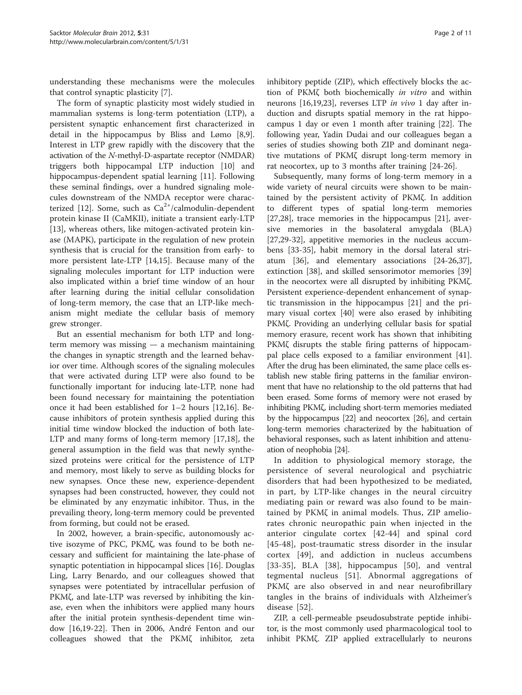understanding these mechanisms were the molecules that control synaptic plasticity [[7\]](#page-7-0).

The form of synaptic plasticity most widely studied in mammalian systems is long-term potentiation (LTP), a persistent synaptic enhancement first characterized in detail in the hippocampus by Bliss and Lømo [\[8,9](#page-7-0)]. Interest in LTP grew rapidly with the discovery that the activation of the N-methyl-D-aspartate receptor (NMDAR) triggers both hippocampal LTP induction [\[10\]](#page-7-0) and hippocampus-dependent spatial learning [[11\]](#page-7-0). Following these seminal findings, over a hundred signaling molecules downstream of the NMDA receptor were charac-terized [[12\]](#page-7-0). Some, such as  $Ca^{2+}/cal$ calmodulin-dependent protein kinase II (CaMKII), initiate a transient early-LTP [[13\]](#page-7-0), whereas others, like mitogen-activated protein kinase (MAPK), participate in the regulation of new protein synthesis that is crucial for the transition from early- to more persistent late-LTP [\[14,15](#page-7-0)]. Because many of the signaling molecules important for LTP induction were also implicated within a brief time window of an hour after learning during the initial cellular consolidation of long-term memory, the case that an LTP-like mechanism might mediate the cellular basis of memory grew stronger.

But an essential mechanism for both LTP and longterm memory was missing — a mechanism maintaining the changes in synaptic strength and the learned behavior over time. Although scores of the signaling molecules that were activated during LTP were also found to be functionally important for inducing late-LTP, none had been found necessary for maintaining the potentiation once it had been established for 1–2 hours [[12,16\]](#page-7-0). Because inhibitors of protein synthesis applied during this initial time window blocked the induction of both late-LTP and many forms of long-term memory [[17,18\]](#page-7-0), the general assumption in the field was that newly synthesized proteins were critical for the persistence of LTP and memory, most likely to serve as building blocks for new synapses. Once these new, experience-dependent synapses had been constructed, however, they could not be eliminated by any enzymatic inhibitor. Thus, in the prevailing theory, long-term memory could be prevented from forming, but could not be erased.

In 2002, however, a brain-specific, autonomously active isozyme of PKC, PKMζ, was found to be both necessary and sufficient for maintaining the late-phase of synaptic potentiation in hippocampal slices [\[16](#page-7-0)]. Douglas Ling, Larry Benardo, and our colleagues showed that synapses were potentiated by intracellular perfusion of PKMζ, and late-LTP was reversed by inhibiting the kinase, even when the inhibitors were applied many hours after the initial protein synthesis-dependent time window [[16,19-22\]](#page-7-0). Then in 2006, André Fenton and our colleagues showed that the PKMζ inhibitor, zeta

inhibitory peptide (ZIP), which effectively blocks the action of PKM<sup>ζ</sup> both biochemically in vitro and within neurons [[16,19,23\]](#page-7-0), reverses LTP in vivo 1 day after induction and disrupts spatial memory in the rat hippocampus 1 day or even 1 month after training [\[22](#page-7-0)]. The following year, Yadin Dudai and our colleagues began a series of studies showing both ZIP and dominant negative mutations of PKMζ disrupt long-term memory in rat neocortex, up to 3 months after training [\[24-](#page-7-0)[26](#page-8-0)].

Subsequently, many forms of long-term memory in a wide variety of neural circuits were shown to be maintained by the persistent activity of PKMζ. In addition to different types of spatial long-term memories [[27,28\]](#page-8-0), trace memories in the hippocampus [[21\]](#page-7-0), aversive memories in the basolateral amygdala (BLA) [[27,29-32\]](#page-8-0), appetitive memories in the nucleus accumbens [[33-35\]](#page-8-0), habit memory in the dorsal lateral striatum [\[36](#page-8-0)], and elementary associations [\[24](#page-7-0)[-26,37](#page-8-0)], extinction [[38\]](#page-8-0), and skilled sensorimotor memories [[39](#page-8-0)] in the neocortex were all disrupted by inhibiting PKMζ. Persistent experience-dependent enhancement of synaptic transmission in the hippocampus [[21](#page-7-0)] and the primary visual cortex [[40](#page-8-0)] were also erased by inhibiting PKMζ. Providing an underlying cellular basis for spatial memory erasure, recent work has shown that inhibiting PKMζ disrupts the stable firing patterns of hippocampal place cells exposed to a familiar environment [\[41](#page-8-0)]. After the drug has been eliminated, the same place cells establish new stable firing patterns in the familiar environment that have no relationship to the old patterns that had been erased. Some forms of memory were not erased by inhibiting PKMζ, including short-term memories mediated by the hippocampus [\[22](#page-7-0)] and neocortex [[26](#page-8-0)], and certain long-term memories characterized by the habituation of behavioral responses, such as latent inhibition and attenuation of neophobia [[24](#page-7-0)].

In addition to physiological memory storage, the persistence of several neurological and psychiatric disorders that had been hypothesized to be mediated, in part, by LTP-like changes in the neural circuitry mediating pain or reward was also found to be maintained by PKMζ in animal models. Thus, ZIP ameliorates chronic neuropathic pain when injected in the anterior cingulate cortex [\[42](#page-8-0)-[44](#page-8-0)] and spinal cord [[45](#page-8-0)-[48](#page-8-0)], post-traumatic stress disorder in the insular cortex [\[49](#page-8-0)], and addiction in nucleus accumbens [[33](#page-8-0)-[35\]](#page-8-0), BLA [\[38](#page-8-0)], hippocampus [[50](#page-8-0)], and ventral tegmental nucleus [[51](#page-8-0)]. Abnormal aggregations of PKMζ are also observed in and near neurofibrillary tangles in the brains of individuals with Alzheimer's disease [[52\]](#page-8-0).

ZIP, a cell-permeable pseudosubstrate peptide inhibitor, is the most commonly used pharmacological tool to inhibit PKMζ. ZIP applied extracellularly to neurons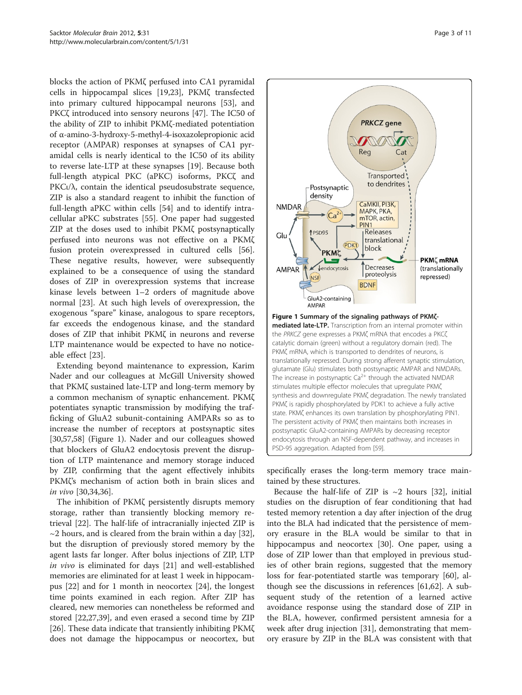<span id="page-2-0"></span>blocks the action of PKMζ perfused into CA1 pyramidal cells in hippocampal slices [\[19,23\]](#page-7-0), PKMζ transfected into primary cultured hippocampal neurons [[53\]](#page-8-0), and PKCζ introduced into sensory neurons [\[47](#page-8-0)]. The IC50 of the ability of ZIP to inhibit PKMζ-mediated potentiation of α-amino-3-hydroxy-5-methyl-4-isoxazolepropionic acid receptor (AMPAR) responses at synapses of CA1 pyramidal cells is nearly identical to the IC50 of its ability to reverse late-LTP at these synapses [[19\]](#page-7-0). Because both full-length atypical PKC (aPKC) isoforms, PKCζ and  $PKC<sub>l</sub>/\lambda$ , contain the identical pseudosubstrate sequence, ZIP is also a standard reagent to inhibit the function of full-length aPKC within cells [[54\]](#page-8-0) and to identify intracellular aPKC substrates [\[55\]](#page-8-0). One paper had suggested ZIP at the doses used to inhibit PKMζ postsynaptically perfused into neurons was not effective on a PKMζ fusion protein overexpressed in cultured cells [\[56](#page-8-0)]. These negative results, however, were subsequently explained to be a consequence of using the standard doses of ZIP in overexpression systems that increase kinase levels between 1–2 orders of magnitude above normal [\[23](#page-7-0)]. At such high levels of overexpression, the exogenous "spare" kinase, analogous to spare receptors, far exceeds the endogenous kinase, and the standard doses of ZIP that inhibit PKMζ in neurons and reverse LTP maintenance would be expected to have no noticeable effect [[23\]](#page-7-0).

Extending beyond maintenance to expression, Karim Nader and our colleagues at McGill University showed that PKMζ sustained late-LTP and long-term memory by a common mechanism of synaptic enhancement. PKMζ potentiates synaptic transmission by modifying the trafficking of GluA2 subunit-containing AMPARs so as to increase the number of receptors at postsynaptic sites [[30,57,58\]](#page-8-0) (Figure 1). Nader and our colleagues showed that blockers of GluA2 endocytosis prevent the disruption of LTP maintenance and memory storage induced by ZIP, confirming that the agent effectively inhibits PKMζ's mechanism of action both in brain slices and in vivo [\[30,34,36\]](#page-8-0).

The inhibition of PKMζ persistently disrupts memory storage, rather than transiently blocking memory retrieval [[22\]](#page-7-0). The half-life of intracranially injected ZIP is  $\sim$ 2 hours, and is cleared from the brain within a day [\[32](#page-8-0)], but the disruption of previously stored memory by the agent lasts far longer. After bolus injections of ZIP, LTP in vivo is eliminated for days [\[21\]](#page-7-0) and well-established memories are eliminated for at least 1 week in hippocampus [[22\]](#page-7-0) and for 1 month in neocortex [\[24](#page-7-0)], the longest time points examined in each region. After ZIP has cleared, new memories can nonetheless be reformed and stored [[22](#page-7-0),[27](#page-8-0),[39](#page-8-0)], and even erased a second time by ZIP [[26\]](#page-8-0). These data indicate that transiently inhibiting PKMζ does not damage the hippocampus or neocortex, but



translationally repressed. During strong afferent synaptic stimulation, glutamate (Glu) stimulates both postsynaptic AMPAR and NMDARs. The increase in postsynaptic  $Ca^{2+}$  through the activated NMDAR stimulates multiple effector molecules that upregulate PKMζ synthesis and downregulate PKMζ degradation. The newly translated PKMζ is rapidly phosphorylated by PDK1 to achieve a fully active state. PKMζ enhances its own translation by phosphorylating PIN1. The persistent activity of PKMζ then maintains both increases in postsynaptic GluA2-containing AMPARs by decreasing receptor endocytosis through an NSF-dependent pathway, and increases in PSD-95 aggregation. Adapted from [[59](#page-8-0)].

specifically erases the long-term memory trace maintained by these structures.

Because the half-life of ZIP is  $\sim$ 2 hours [\[32](#page-8-0)], initial studies on the disruption of fear conditioning that had tested memory retention a day after injection of the drug into the BLA had indicated that the persistence of memory erasure in the BLA would be similar to that in hippocampus and neocortex [\[30\]](#page-8-0). One paper, using a dose of ZIP lower than that employed in previous studies of other brain regions, suggested that the memory loss for fear-potentiated startle was temporary [[60](#page-8-0)], although see the discussions in references [\[61,62](#page-8-0)]. A subsequent study of the retention of a learned active avoidance response using the standard dose of ZIP in the BLA, however, confirmed persistent amnesia for a week after drug injection [\[31](#page-8-0)], demonstrating that memory erasure by ZIP in the BLA was consistent with that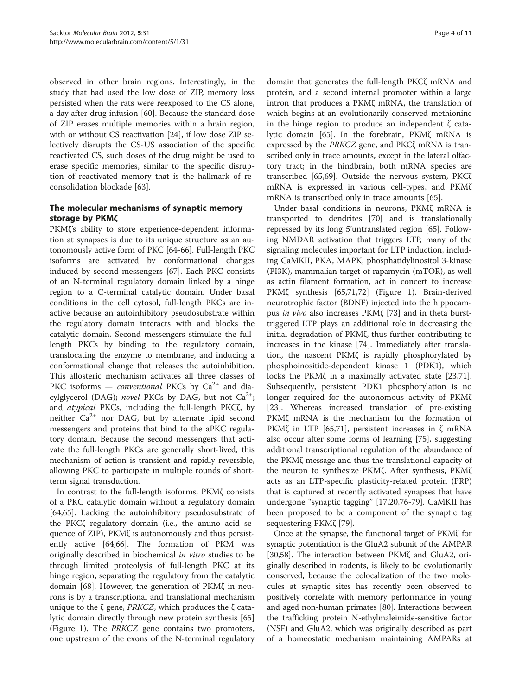observed in other brain regions. Interestingly, in the study that had used the low dose of ZIP, memory loss persisted when the rats were reexposed to the CS alone, a day after drug infusion [[60\]](#page-8-0). Because the standard dose of ZIP erases multiple memories within a brain region, with or without CS reactivation [[24\]](#page-7-0), if low dose ZIP selectively disrupts the CS-US association of the specific reactivated CS, such doses of the drug might be used to erase specific memories, similar to the specific disruption of reactivated memory that is the hallmark of reconsolidation blockade [[63](#page-8-0)].

## The molecular mechanisms of synaptic memory storage by PKMζ

PKMζ's ability to store experience-dependent information at synapses is due to its unique structure as an autonomously active form of PKC [[64-66\]](#page-8-0). Full-length PKC isoforms are activated by conformational changes induced by second messengers [[67\]](#page-8-0). Each PKC consists of an N-terminal regulatory domain linked by a hinge region to a C-terminal catalytic domain. Under basal conditions in the cell cytosol, full-length PKCs are inactive because an autoinhibitory pseudosubstrate within the regulatory domain interacts with and blocks the catalytic domain. Second messengers stimulate the fulllength PKCs by binding to the regulatory domain, translocating the enzyme to membrane, and inducing a conformational change that releases the autoinhibition. This allosteric mechanism activates all three classes of PKC isoforms — *conventional* PKCs by  $Ca^{2+}$  and diacylglycerol (DAG); novel PKCs by DAG, but not  $Ca^{2+}$ ; and atypical PKCs, including the full-length PKCζ, by neither  $Ca^{2+}$  nor DAG, but by alternate lipid second messengers and proteins that bind to the aPKC regulatory domain. Because the second messengers that activate the full-length PKCs are generally short-lived, this mechanism of action is transient and rapidly reversible, allowing PKC to participate in multiple rounds of shortterm signal transduction.

In contrast to the full-length isoforms, PKMζ consists of a PKC catalytic domain without a regulatory domain [[64,65\]](#page-8-0). Lacking the autoinhibitory pseudosubstrate of the PKCζ regulatory domain (i.e., the amino acid sequence of ZIP), PKMζ is autonomously and thus persistently active [\[64,66\]](#page-8-0). The formation of PKM was originally described in biochemical in vitro studies to be through limited proteolysis of full-length PKC at its hinge region, separating the regulatory from the catalytic domain [[68](#page-9-0)]. However, the generation of PKMζ in neurons is by a transcriptional and translational mechanism unique to the ζ gene,  $PRKCZ$ , which produces the ζ catalytic domain directly through new protein synthesis [[65](#page-8-0)] (Figure [1\)](#page-2-0). The PRKCZ gene contains two promoters, one upstream of the exons of the N-terminal regulatory

domain that generates the full-length PKCζ mRNA and protein, and a second internal promoter within a large intron that produces a PKMζ mRNA, the translation of which begins at an evolutionarily conserved methionine in the hinge region to produce an independent  $\zeta$  catalytic domain [[65](#page-8-0)]. In the forebrain, PKMζ mRNA is expressed by the PRKCZ gene, and PKC<sup>ζ</sup> mRNA is transcribed only in trace amounts, except in the lateral olfactory tract; in the hindbrain, both mRNA species are transcribed [\[65](#page-8-0)[,69](#page-9-0)]. Outside the nervous system, PKCζ mRNA is expressed in various cell-types, and PKMζ mRNA is transcribed only in trace amounts [\[65](#page-8-0)].

Under basal conditions in neurons, PKMζ mRNA is transported to dendrites [[70\]](#page-9-0) and is translationally repressed by its long 5'untranslated region [[65\]](#page-8-0). Following NMDAR activation that triggers LTP, many of the signaling molecules important for LTP induction, including CaMKII, PKA, MAPK, phosphatidylinositol 3-kinase (PI3K), mammalian target of rapamycin (mTOR), as well as actin filament formation, act in concert to increase PKMζ synthesis [\[65](#page-8-0)[,71,72](#page-9-0)] (Figure [1](#page-2-0)). Brain-derived neurotrophic factor (BDNF) injected into the hippocampus in vivo also increases PKM<sup>ζ</sup> [\[73](#page-9-0)] and in theta bursttriggered LTP plays an additional role in decreasing the initial degradation of PKMζ, thus further contributing to increases in the kinase [\[74](#page-9-0)]. Immediately after translation, the nascent PKMζ is rapidly phosphorylated by phosphoinositide-dependent kinase 1 (PDK1), which locks the PKMζ in a maximally activated state [\[23](#page-7-0)[,71](#page-9-0)]. Subsequently, persistent PDK1 phosphorylation is no longer required for the autonomous activity of PKMζ [[23\]](#page-7-0). Whereas increased translation of pre-existing PKMζ mRNA is the mechanism for the formation of PKMζ in LTP [\[65](#page-8-0)[,71](#page-9-0)], persistent increases in ζ mRNA also occur after some forms of learning [\[75](#page-9-0)], suggesting additional transcriptional regulation of the abundance of the PKMζ message and thus the translational capacity of the neuron to synthesize PKMζ. After synthesis, PKMζ acts as an LTP-specific plasticity-related protein (PRP) that is captured at recently activated synapses that have undergone "synaptic tagging" [\[17,20](#page-7-0)[,76](#page-9-0)-[79](#page-9-0)]. CaMKII has been proposed to be a component of the synaptic tag sequestering PKMζ [[79](#page-9-0)].

Once at the synapse, the functional target of PKMζ for synaptic potentiation is the GluA2 subunit of the AMPAR [[30](#page-8-0),[58](#page-8-0)]. The interaction between PKMζ and GluA2, originally described in rodents, is likely to be evolutionarily conserved, because the colocalization of the two molecules at synaptic sites has recently been observed to positively correlate with memory performance in young and aged non-human primates [\[80\]](#page-9-0). Interactions between the trafficking protein N-ethylmaleimide-sensitive factor (NSF) and GluA2, which was originally described as part of a homeostatic mechanism maintaining AMPARs at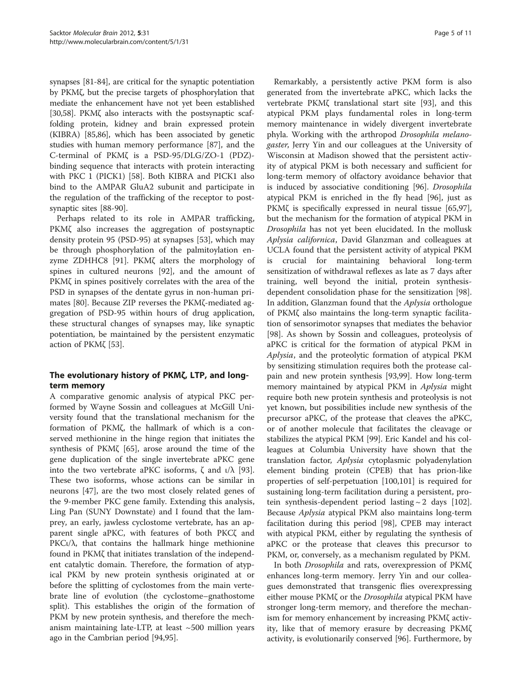synapses [[81](#page-9-0)-[84](#page-9-0)], are critical for the synaptic potentiation by PKMζ, but the precise targets of phosphorylation that mediate the enhancement have not yet been established [[30,58](#page-8-0)]. PKMζ also interacts with the postsynaptic scaffolding protein, kidney and brain expressed protein (KIBRA) [\[85,86\]](#page-9-0), which has been associated by genetic studies with human memory performance [\[87\]](#page-9-0), and the C-terminal of PKMζ is a PSD-95/DLG/ZO-1 (PDZ) binding sequence that interacts with protein interacting with PKC 1 (PICK1) [[58\]](#page-8-0). Both KIBRA and PICK1 also bind to the AMPAR GluA2 subunit and participate in the regulation of the trafficking of the receptor to postsynaptic sites [\[88](#page-9-0)-[90\]](#page-9-0).

Perhaps related to its role in AMPAR trafficking, PKMζ also increases the aggregation of postsynaptic density protein 95 (PSD-95) at synapses [[53](#page-8-0)], which may be through phosphorylation of the palmitoylation enzyme ZDHHC8 [[91\]](#page-9-0). PKMζ alters the morphology of spines in cultured neurons [\[92\]](#page-9-0), and the amount of PKMζ in spines positively correlates with the area of the PSD in synapses of the dentate gyrus in non-human primates [[80](#page-9-0)]. Because ZIP reverses the PKMζ-mediated aggregation of PSD-95 within hours of drug application, these structural changes of synapses may, like synaptic potentiation, be maintained by the persistent enzymatic action of PKMζ [[53](#page-8-0)].

# The evolutionary history of PKMζ, LTP, and longterm memory

A comparative genomic analysis of atypical PKC performed by Wayne Sossin and colleagues at McGill University found that the translational mechanism for the formation of PKMζ, the hallmark of which is a conserved methionine in the hinge region that initiates the synthesis of PKMζ [[65\]](#page-8-0), arose around the time of the gene duplication of the single invertebrate aPKC gene into the two vertebrate aPKC isoforms,  $\zeta$  and  $\sqrt{\lambda}$  [\[93](#page-9-0)]. These two isoforms, whose actions can be similar in neurons [[47\]](#page-8-0), are the two most closely related genes of the 9-member PKC gene family. Extending this analysis, Ling Pan (SUNY Downstate) and I found that the lamprey, an early, jawless cyclostome vertebrate, has an apparent single aPKC, with features of both PKCζ and PKCι/λ, that contains the hallmark hinge methionine found in PKMζ that initiates translation of the independent catalytic domain. Therefore, the formation of atypical PKM by new protein synthesis originated at or before the splitting of cyclostomes from the main vertebrate line of evolution (the cyclostome–gnathostome split). This establishes the origin of the formation of PKM by new protein synthesis, and therefore the mechanism maintaining late-LTP, at least  $\sim$  500 million years ago in the Cambrian period [\[94,95\]](#page-9-0).

Remarkably, a persistently active PKM form is also generated from the invertebrate aPKC, which lacks the vertebrate PKMζ translational start site [\[93\]](#page-9-0), and this atypical PKM plays fundamental roles in long-term memory maintenance in widely divergent invertebrate phyla. Working with the arthropod Drosophila melanogaster, Jerry Yin and our colleagues at the University of Wisconsin at Madison showed that the persistent activity of atypical PKM is both necessary and sufficient for long-term memory of olfactory avoidance behavior that is induced by associative conditioning [\[96](#page-9-0)]. Drosophila atypical PKM is enriched in the fly head [[96\]](#page-9-0), just as PKMζ is specifically expressed in neural tissue [\[65](#page-8-0)[,97](#page-9-0)], but the mechanism for the formation of atypical PKM in Drosophila has not yet been elucidated. In the mollusk Aplysia californica, David Glanzman and colleagues at UCLA found that the persistent activity of atypical PKM is crucial for maintaining behavioral long-term sensitization of withdrawal reflexes as late as 7 days after training, well beyond the initial, protein synthesisdependent consolidation phase for the sensitization [\[98](#page-9-0)]. In addition, Glanzman found that the *Aplysia* orthologue of PKMζ also maintains the long-term synaptic facilitation of sensorimotor synapses that mediates the behavior [[98\]](#page-9-0). As shown by Sossin and colleagues, proteolysis of aPKC is critical for the formation of atypical PKM in Aplysia, and the proteolytic formation of atypical PKM by sensitizing stimulation requires both the protease calpain and new protein synthesis [\[93,99\]](#page-9-0). How long-term memory maintained by atypical PKM in Aplysia might require both new protein synthesis and proteolysis is not yet known, but possibilities include new synthesis of the precursor aPKC, of the protease that cleaves the aPKC, or of another molecule that facilitates the cleavage or stabilizes the atypical PKM [[99](#page-9-0)]. Eric Kandel and his colleagues at Columbia University have shown that the translation factor, Aplysia cytoplasmic polyadenylation element binding protein (CPEB) that has prion-like properties of self-perpetuation [[100,101](#page-9-0)] is required for sustaining long-term facilitation during a persistent, protein synthesis-dependent period lasting  $\sim$  2 days [[102](#page-9-0)]. Because Aplysia atypical PKM also maintains long-term facilitation during this period [[98\]](#page-9-0), CPEB may interact with atypical PKM, either by regulating the synthesis of aPKC or the protease that cleaves this precursor to PKM, or, conversely, as a mechanism regulated by PKM.

In both Drosophila and rats, overexpression of PKM<sup>ζ</sup> enhances long-term memory. Jerry Yin and our colleagues demonstrated that transgenic flies overexpressing either mouse PKM<sup>ζ</sup> or the Drosophila atypical PKM have stronger long-term memory, and therefore the mechanism for memory enhancement by increasing PKMζ activity, like that of memory erasure by decreasing PKMζ activity, is evolutionarily conserved [[96\]](#page-9-0). Furthermore, by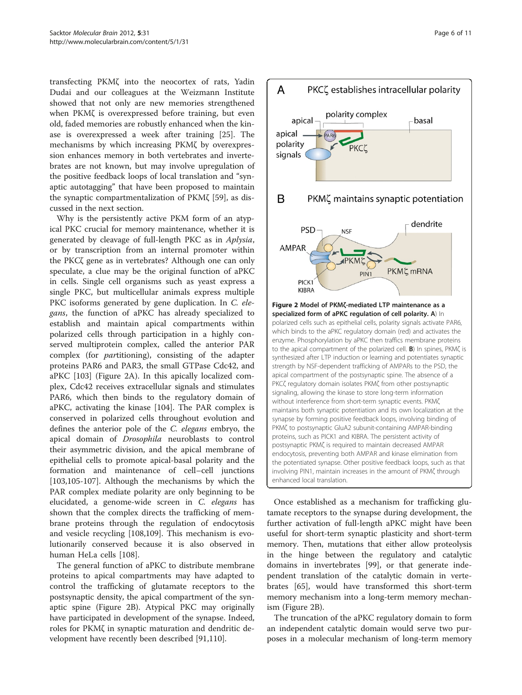<span id="page-5-0"></span>transfecting PKMζ into the neocortex of rats, Yadin Dudai and our colleagues at the Weizmann Institute showed that not only are new memories strengthened when PKMζ is overexpressed before training, but even old, faded memories are robustly enhanced when the kinase is overexpressed a week after training [\[25](#page-8-0)]. The mechanisms by which increasing PKMζ by overexpression enhances memory in both vertebrates and invertebrates are not known, but may involve upregulation of the positive feedback loops of local translation and "synaptic autotagging" that have been proposed to maintain the synaptic compartmentalization of PKMζ [\[59](#page-8-0)], as discussed in the next section.

Why is the persistently active PKM form of an atypical PKC crucial for memory maintenance, whether it is generated by cleavage of full-length PKC as in Aplysia, or by transcription from an internal promoter within the PKCζ gene as in vertebrates? Although one can only speculate, a clue may be the original function of aPKC in cells. Single cell organisms such as yeast express a single PKC, but multicellular animals express multiple PKC isoforms generated by gene duplication. In C. elegans, the function of aPKC has already specialized to establish and maintain apical compartments within polarized cells through participation in a highly conserved multiprotein complex, called the anterior PAR complex (for partitioning), consisting of the adapter proteins PAR6 and PAR3, the small GTPase Cdc42, and aPKC [[103\]](#page-9-0) (Figure 2A). In this apically localized complex, Cdc42 receives extracellular signals and stimulates PAR6, which then binds to the regulatory domain of aPKC, activating the kinase [\[104\]](#page-9-0). The PAR complex is conserved in polarized cells throughout evolution and defines the anterior pole of the C. elegans embryo, the apical domain of Drosophila neuroblasts to control their asymmetric division, and the apical membrane of epithelial cells to promote apical-basal polarity and the formation and maintenance of cell–cell junctions [[103,105-107\]](#page-9-0). Although the mechanisms by which the PAR complex mediate polarity are only beginning to be elucidated, a genome-wide screen in C. elegans has shown that the complex directs the trafficking of membrane proteins through the regulation of endocytosis and vesicle recycling [\[108,109](#page-9-0)]. This mechanism is evolutionarily conserved because it is also observed in human HeLa cells [\[108\]](#page-9-0).

The general function of aPKC to distribute membrane proteins to apical compartments may have adapted to control the trafficking of glutamate receptors to the postsynaptic density, the apical compartment of the synaptic spine (Figure 2B). Atypical PKC may originally have participated in development of the synapse. Indeed, roles for PKMζ in synaptic maturation and dendritic development have recently been described [[91](#page-9-0),[110](#page-9-0)].



strength by NSF-dependent trafficking of AMPARs to the PSD, the apical compartment of the postsynaptic spine. The absence of a PKCζ regulatory domain isolates PKMζ from other postsynaptic signaling, allowing the kinase to store long-term information without interference from short-term synaptic events. PKMζ maintains both synaptic potentiation and its own localization at the synapse by forming positive feedback loops, involving binding of PKMζ to postsynaptic GluA2 subunit-containing AMPAR-binding proteins, such as PICK1 and KIBRA. The persistent activity of postsynaptic PKMζ is required to maintain decreased AMPAR endocytosis, preventing both AMPAR and kinase elimination from the potentiated synapse. Other positive feedback loops, such as that involving PIN1, maintain increases in the amount of PKMζ through enhanced local translation.

Once established as a mechanism for trafficking glutamate receptors to the synapse during development, the further activation of full-length aPKC might have been useful for short-term synaptic plasticity and short-term memory. Then, mutations that either allow proteolysis in the hinge between the regulatory and catalytic domains in invertebrates [\[99\]](#page-9-0), or that generate independent translation of the catalytic domain in vertebrates [[65\]](#page-8-0), would have transformed this short-term memory mechanism into a long-term memory mechanism (Figure 2B).

The truncation of the aPKC regulatory domain to form an independent catalytic domain would serve two purposes in a molecular mechanism of long-term memory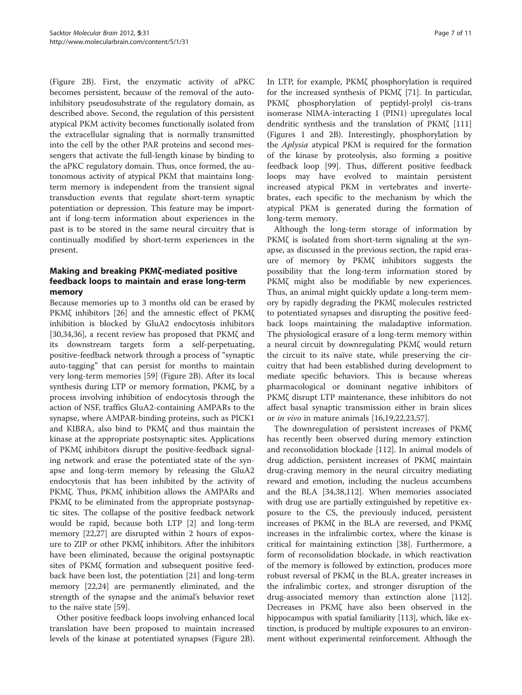(Figure [2](#page-5-0)B). First, the enzymatic activity of aPKC becomes persistent, because of the removal of the autoinhibitory pseudosubstrate of the regulatory domain, as described above. Second, the regulation of this persistent atypical PKM activity becomes functionally isolated from the extracellular signaling that is normally transmitted into the cell by the other PAR proteins and second messengers that activate the full-length kinase by binding to the aPKC regulatory domain. Thus, once formed, the autonomous activity of atypical PKM that maintains longterm memory is independent from the transient signal transduction events that regulate short-term synaptic potentiation or depression. This feature may be important if long-term information about experiences in the past is to be stored in the same neural circuitry that is continually modified by short-term experiences in the present.

# Making and breaking PKMζ-mediated positive feedback loops to maintain and erase long-term memory

Because memories up to 3 months old can be erased by PKMζ inhibitors [[26](#page-8-0)] and the amnestic effect of PKMζ inhibition is blocked by GluA2 endocytosis inhibitors [[30,34,36\]](#page-8-0), a recent review has proposed that PKMζ and its downstream targets form a self-perpetuating, positive-feedback network through a process of "synaptic auto-tagging" that can persist for months to maintain very long-term memories [\[59](#page-8-0)] (Figure [2](#page-5-0)B). After its local synthesis during LTP or memory formation, PKMζ, by a process involving inhibition of endocytosis through the action of NSF, traffics GluA2-containing AMPARs to the synapse, where AMPAR-binding proteins, such as PICK1 and KIBRA, also bind to PKMζ and thus maintain the kinase at the appropriate postsynaptic sites. Applications of PKMζ inhibitors disrupt the positive-feedback signaling network and erase the potentiated state of the synapse and long-term memory by releasing the GluA2 endocytosis that has been inhibited by the activity of PKMζ. Thus, PKMζ inhibition allows the AMPARs and PKMζ to be eliminated from the appropriate postsynaptic sites. The collapse of the positive feedback network would be rapid, because both LTP [\[2](#page-7-0)] and long-term memory [[22,](#page-7-0)[27\]](#page-8-0) are disrupted within 2 hours of exposure to ZIP or other PKMζ inhibitors. After the inhibitors have been eliminated, because the original postsynaptic sites of PKMζ formation and subsequent positive feedback have been lost, the potentiation [\[21](#page-7-0)] and long-term memory [[22](#page-7-0),[24](#page-7-0)] are permanently eliminated, and the strength of the synapse and the animal's behavior reset to the naïve state [[59\]](#page-8-0).

Other positive feedback loops involving enhanced local translation have been proposed to maintain increased levels of the kinase at potentiated synapses (Figure [2](#page-5-0)B).

In LTP, for example, PKMζ phosphorylation is required for the increased synthesis of PKMζ [[71](#page-9-0)]. In particular, PKMζ phosphorylation of peptidyl-prolyl cis-trans isomerase NIMA-interacting 1 (PIN1) upregulates local dendritic synthesis and the translation of PKMζ [[111](#page-9-0)] (Figures [1](#page-2-0) and [2](#page-5-0)B). Interestingly, phosphorylation by the Aplysia atypical PKM is required for the formation of the kinase by proteolysis, also forming a positive feedback loop [[99\]](#page-9-0). Thus, different positive feedback loops may have evolved to maintain persistent increased atypical PKM in vertebrates and invertebrates, each specific to the mechanism by which the atypical PKM is generated during the formation of long-term memory.

Although the long-term storage of information by PKMζ is isolated from short-term signaling at the synapse, as discussed in the previous section, the rapid erasure of memory by PKMζ inhibitors suggests the possibility that the long-term information stored by PKMζ might also be modifiable by new experiences. Thus, an animal might quickly update a long-term memory by rapidly degrading the PKMζ molecules restricted to potentiated synapses and disrupting the positive feedback loops maintaining the maladaptive information. The physiological erasure of a long-term memory within a neural circuit by downregulating PKMζ would return the circuit to its naïve state, while preserving the circuitry that had been established during development to mediate specific behaviors. This is because whereas pharmacological or dominant negative inhibitors of PKMζ disrupt LTP maintenance, these inhibitors do not affect basal synaptic transmission either in brain slices or in vivo in mature animals [\[16,19,22,23,](#page-7-0)[57\]](#page-8-0).

The downregulation of persistent increases of PKMζ has recently been observed during memory extinction and reconsolidation blockade [[112\]](#page-9-0). In animal models of drug addiction, persistent increases of PKMζ maintain drug-craving memory in the neural circuitry mediating reward and emotion, including the nucleus accumbens and the BLA [\[34,38](#page-8-0)[,112\]](#page-9-0). When memories associated with drug use are partially extinguished by repetitive exposure to the CS, the previously induced, persistent increases of PKMζ in the BLA are reversed, and PKMζ increases in the infralimbic cortex, where the kinase is critical for maintaining extinction [[38](#page-8-0)]. Furthermore, a form of reconsolidation blockade, in which reactivation of the memory is followed by extinction, produces more robust reversal of PKMζ in the BLA, greater increases in the infralimbic cortex, and stronger disruption of the drug-associated memory than extinction alone [[112](#page-9-0)]. Decreases in PKMζ have also been observed in the hippocampus with spatial familiarity [\[113\]](#page-10-0), which, like extinction, is produced by multiple exposures to an environment without experimental reinforcement. Although the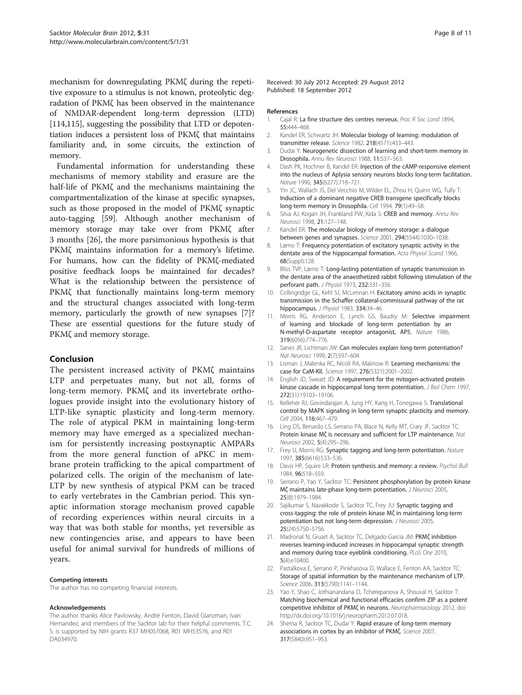<span id="page-7-0"></span>mechanism for downregulating PKMζ during the repetitive exposure to a stimulus is not known, proteolytic degradation of PKMζ has been observed in the maintenance of NMDAR-dependent long-term depression (LTD) [[114,115\]](#page-10-0), suggesting the possibility that LTD or depotentiation induces a persistent loss of PKMζ that maintains familiarity and, in some circuits, the extinction of memory.

Fundamental information for understanding these mechanisms of memory stability and erasure are the half-life of PKMζ and the mechanisms maintaining the compartmentalization of the kinase at specific synapses, such as those proposed in the model of PKMζ synaptic auto-tagging [\[59\]](#page-8-0). Although another mechanism of memory storage may take over from PKMζ after 3 months [[26\]](#page-8-0), the more parsimonious hypothesis is that PKMζ maintains information for a memory's lifetime. For humans, how can the fidelity of PKMζ-mediated positive feedback loops be maintained for decades? What is the relationship between the persistence of PKMζ that functionally maintains long-term memory and the structural changes associated with long-term memory, particularly the growth of new synapses [7]? These are essential questions for the future study of PKMζ and memory storage.

### Conclusion

The persistent increased activity of PKMζ maintains LTP and perpetuates many, but not all, forms of long-term memory. PKMζ and its invertebrate orthologues provide insight into the evolutionary history of LTP-like synaptic plasticity and long-term memory. The role of atypical PKM in maintaining long-term memory may have emerged as a specialized mechanism for persistently increasing postsynaptic AMPARs from the more general function of aPKC in membrane protein trafficking to the apical compartment of polarized cells. The origin of the mechanism of late-LTP by new synthesis of atypical PKM can be traced to early vertebrates in the Cambrian period. This synaptic information storage mechanism proved capable of recording experiences within neural circuits in a way that was both stable for months, yet reversible as new contingencies arise, and appears to have been useful for animal survival for hundreds of millions of years.

#### Competing interests

The author has no competing financial interests.

#### Acknowledgements

The author thanks Alice Pavlowsky, André Fenton, David Glanzman, Ivan Hernandez, and members of the Sacktor lab for their helpful comments. T.C. S. is supported by NIH grants R37 MH057068, R01 MH53576, and R01 DA034970.

Received: 30 July 2012 Accepted: 29 August 2012 Published: 18 September 2012

#### References

- 1. Cajal R: La fine structure des centres nerveux. Proc R Soc Lond 1894, 55:444–468.
- 2. Kandel ER, Schwartz JH: Molecular biology of learning: modulation of transmitter release. Science 1982, 218(4571):433–443.
- 3. Dudai Y: Neurogenetic dissection of learning and short-term memory in Drosophila. Annu Rev Neurosci 1988, 11:537–563.
- 4. Dash PK, Hochner B, Kandel ER: Injection of the cAMP-responsive element into the nucleus of Aplysia sensory neurons blocks long-term facilitation. Nature 1990, 345(6277):718–721.
- 5. Yin JC, Wallach JS, Del Vecchio M, Wilder EL, Zhou H, Quinn WG, Tully T: Induction of a dominant negative CREB transgene specifically blocks long-term memory in Drosophila. Cell 1994, 79(1):49–58.
- 6. Silva AJ, Kogan JH, Frankland PW, Kida S: CREB and memory. Annu Rev Neurosci 1998, 21:127–148.
- 7. Kandel ER: The molecular biology of memory storage: a dialogue between genes and synapses. Science 2001, 294(5544):1030–1038.
- 8. Lømo T: Frequency potentiation of excitatory synaptic activity in the dentate area of the hippocampal formation. Acta Physiol Scand 1966, 68(Suppl):128.
- 9. Bliss TVP, Lømo T: Long-lasting potentiation of synaptic transmission in the dentate area of the anaesthetized rabbit following stimulation of the perforant path. J Physiol 1973, 232:331–356.
- 10. Collingridge GL, Kehl SJ, McLennan H: Excitatory amino acids in synaptic transmission in the Schaffer collateral-commissural pathway of the rat hippocampus. J Physiol 1983, 334:34-46.
- 11. Morris RG, Anderson E, Lynch GS, Baudry M: Selective impairment of learning and blockade of long-term potentiation by an N-methyl-D-aspartate receptor antagonist, AP5. Nature 1986, 319(6056):774–776.
- 12. Sanes JR, Lichtman JW: Can molecules explain long-term potentiation? Nat Neurosci 1999, 2(7):597–604.
- 13. Lisman J, Malenka RC, Nicoll RA, Malinow R: Learning mechanisms: the case for CaM-KII. Science 1997, 276(5321):2001–2002.
- 14. English JD, Sweatt JD: A requirement for the mitogen-activated protein kinase cascade in hippocampal long term potentiation. J Biol Chem 1997, 272(31):19103–19106.
- 15. Kelleher RJ, Govindarajan A, Jung HY, Kang H, Tonegawa S: Translational control by MAPK signaling in long-term synaptic plasticity and memory. Cell 2004, 116:467–479.
- 16. Ling DS, Benardo LS, Serrano PA, Blace N, Kelly MT, Crary JF, Sacktor TC: Protein kinase Mζ is necessary and sufficient for LTP maintenance. Nat Neurosci 2002, 5(4):295–296.
- 17. Frey U, Morris RG: Synaptic tagging and long-term potentiation. Nature 1997, 385(6616):533–536.
- 18. Davis HP, Squire LR: Protein synthesis and memory: a review. Psychol Bull 1984, 96:518–559.
- 19. Serrano P, Yao Y, Sacktor TC: Persistent phosphorylation by protein kinase Mζ maintains late-phase long-term potentiation. J Neurosci 2005, 25(8):1979–1984.
- 20. Sajikumar S, Navakkode S, Sacktor TC, Frey JU: Synaptic tagging and cross-tagging: the role of protein kinase Mζ in maintaining long-term potentiation but not long-term depression. *J Neurosci* 2005, 25(24):5750–5756.
- 21. Madronal N, Gruart A, Sacktor TC, Delgado-Garcia JM: PKMζ inhibition reverses learning-induced increases in hippocampal synaptic strength and memory during trace eyeblink conditioning. PLoS One 2010, 5(4):e10400.
- 22. Pastalkova E, Serrano P, Pinkhasova D, Wallace E, Fenton AA, Sacktor TC: Storage of spatial information by the maintenance mechanism of LTP. Science 2006, 313(5790):1141–1144.
- 23. Yao Y, Shao C, Jothianandana D, Tcherepanova A, Shouval H, Sacktor T: Matching biochemical and functional efficacies confirm ZIP as a potent competitive inhibitor of PKMζ in neurons. Neuropharmacology 2012, doi: [http://dx.doi.org/10.1016/j.neuropharm.2012.07.018.](http://dx.doi.org/http://dx.doi.org/10.1016/j.neuropharm.2012.07.018)
- 24. Shema R, Sacktor TC, Dudai Y: Rapid erasure of long-term memory associations in cortex by an inhibitor of PKMζ. Science 2007, 317(5840):951–953.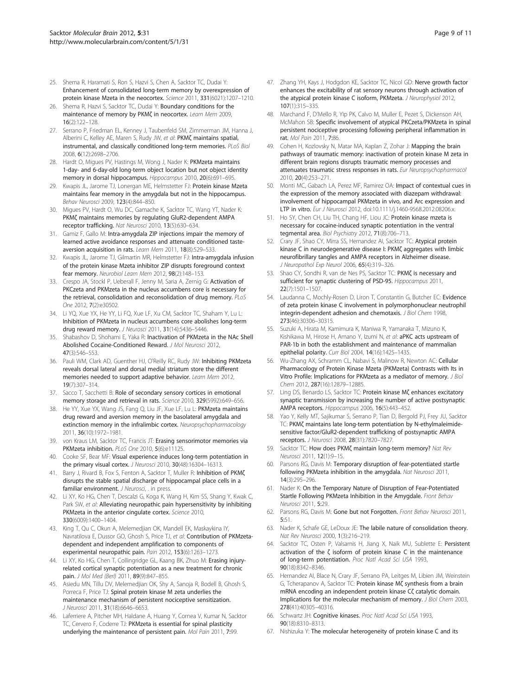- <span id="page-8-0"></span>25. Shema R, Haramati S, Ron S, Hazvi S, Chen A, Sacktor TC, Dudai Y: Enhancement of consolidated long-term memory by overexpression of protein kinase Mzeta in the neocortex. Science 2011, 331(6021):1207-1210.
- 26. Shema R, Hazvi S, Sacktor TC, Dudai Y: Boundary conditions for the maintenance of memory by PKMζ in neocortex. Learn Mem 2009, 16(2):122–128.
- 27. Serrano P, Friedman EL, Kenney J, Taubenfeld SM, Zimmerman JM, Hanna J, Alberini C, Kelley AE, Maren S, Rudy JW, et al: PKMC maintains spatial, instrumental, and classically conditioned long-term memories. PLoS Biol 2008, 6(12):2698–2706.
- 28. Hardt O, Migues PV, Hastings M, Wong J, Nader K: PKMzeta maintains 1-day- and 6-day-old long-term object location but not object identity memory in dorsal hippocampus. Hippocampus 2010, 20(6):691–695.
- 29. Kwapis JL, Jarome TJ, Lonergan ME, Helmstetter FJ: Protein kinase Mzeta maintains fear memory in the amygdala but not in the hippocampus. Behav Neurosci 2009, 123(4):844–850.
- 30. Migues PV, Hardt O, Wu DC, Gamache K, Sacktor TC, Wang YT, Nader K: PKMζ maintains memories by regulating GluR2-dependent AMPA receptor trafficking. Nat Neurosci 2010, 13(5):630–634.
- 31. Gamiz F, Gallo M: Intra-amygdala ZIP injections impair the memory of learned active avoidance responses and attenuate conditioned tasteaversion acquisition in rats. Learn Mem 2011, 18(8):529–533.
- 32. Kwapis JL, Jarome TJ, Gilmartin MR, Helmstetter FJ: Intra-amygdala infusion of the protein kinase Mzeta inhibitor ZIP disrupts foreground context fear memory. Neurobiol Learn Mem 2012, 98(2):148–153.
- 33. Crespo JA, Stockl P, Ueberall F, Jenny M, Saria A, Zernig G: Activation of PKCzeta and PKMzeta in the nucleus accumbens core is necessary for the retrieval, consolidation and reconsolidation of drug memory. PLoS One 2012, 7(2):e30502.
- 34. Li YQ, Xue YX, He YY, Li FQ, Xue LF, Xu CM, Sacktor TC, Shaham Y, Lu L: Inhibition of PKMzeta in nucleus accumbens core abolishes long-term drug reward memory. J Neurosci 2011, 31(14):5436–5446.
- 35. Shabashov D, Shohami E, Yaka R: Inactivation of PKMzeta in the NAc Shell Abolished Cocaine-Conditioned Reward. J Mol Neurosci 2012, 47(3):546–553.
- 36. Pauli WM, Clark AD, Guenther HJ, O'Reilly RC, Rudy JW: Inhibiting PKMzeta reveals dorsal lateral and dorsal medial striatum store the different memories needed to support adaptive behavior. Learn Mem 2012, 19(7):307–314.
- 37. Sacco T, Sacchetti B: Role of secondary sensory cortices in emotional memory storage and retrieval in rats. Science 2010, 329(5992):649–656.
- 38. He YY, Xue YX, Wang JS, Fang Q, Liu JF, Xue LF, Lu L: PKMzeta maintains drug reward and aversion memory in the basolateral amygdala and extinction memory in the infralimbic cortex. Neuropsychopharmacology 2011, 36(10):1972–1981.
- 39. von Kraus LM, Sacktor TC, Francis JT: Erasing sensorimotor memories via PKMzeta inhibition. PLoS One 2010, 5(6):e11125.
- 40. Cooke SF, Bear MF: Visual experience induces long-term potentiation in the primary visual cortex. J Neurosci 2010, 30(48):16304-16313.
- 41. Barry J, Rivard B, Fox S, Fenton A, Sacktor T, Muller R: Inhibition of PKMζ disrupts the stable spatial discharge of hippocampal place cells in a familiar environment. J Neurosci, . in press.
- 42. Li XY, Ko HG, Chen T, Descalzi G, Koga K, Wang H, Kim SS, Shang Y, Kwak C, Park SW, et al: Alleviating neuropathic pain hypersensitivity by inhibiting PKMzeta in the anterior cingulate cortex. Science 2010, 330(6009):1400–1404.
- 43. King T, Qu C, Okun A, Melemedjian OK, Mandell EK, Maskaykina IY, Navratilova E, Dussor GO, Ghosh S, Price TJ, et al: Contribution of PKMzetadependent and independent amplification to components of experimental neuropathic pain. Pain 2012, 153(6):1263–1273.
- 44. Li XY, Ko HG, Chen T, Collingridge GL, Kaang BK, Zhuo M: Erasing injuryrelated cortical synaptic potentiation as a new treatment for chronic pain. J Mol Med (Berl) 2011, 89(9):847-855.
- 45. Asiedu MN, Tillu DV, Melemedjian OK, Shy A, Sanoja R, Bodell B, Ghosh S, Porreca F, Price TJ: Spinal protein kinase M zeta underlies the maintenance mechanism of persistent nociceptive sensitization. J Neurosci 2011, 31(18):6646–6653.
- 46. Laferriere A, Pitcher MH, Haldane A, Huang Y, Cornea V, Kumar N, Sacktor TC, Cervero F, Coderre TJ: PKMzeta is essential for spinal plasticity underlying the maintenance of persistent pain. Mol Pain 2011, 7:99.
- 47. Zhang YH, Kays J, Hodgdon KE, Sacktor TC, Nicol GD: Nerve growth factor enhances the excitability of rat sensory neurons through activation of the atypical protein kinase C isoform, PKMzeta. J Neurophysiol 2012, 107(1):315–335.
- 48. Marchand F, D'Mello R, Yip PK, Calvo M, Muller E, Pezet S, Dickenson AH, McMahon SB: Specific involvement of atypical PKCzeta/PKMzeta in spinal persistent nociceptive processing following peripheral inflammation in rat. Mol Pain 2011, 7:86.
- 49. Cohen H, Kozlovsky N, Matar MA, Kaplan Z, Zohar J: Mapping the brain pathways of traumatic memory: inactivation of protein kinase M zeta in different brain regions disrupts traumatic memory processes and attenuates traumatic stress responses in rats. Eur Neuropsychopharmacol 2010, 20(4):253–271.
- 50. Monti MC, Gabach LA, Perez MF, Ramirez OA: Impact of contextual cues in the expression of the memory associated with diazepam withdrawal: involvement of hippocampal PKMzeta in vivo, and Arc expression and LTP in vitro. Eur J Neurosci 2012, doi[:10.1111/j.1460-9568.2012.08206.x.](http://dx.doi.org/10.1111/j.1460-9568.2012.08206.x)
- 51. Ho SY, Chen CH, Liu TH, Chang HF, Liou JC: Protein kinase mzeta is necessary for cocaine-induced synaptic potentiation in the ventral tegmental area. Biol Psychiatry 2012, 71(8):706-713.
- 52. Crary JF, Shao CY, Mirra SS, Hernandez AI, Sacktor TC: Atypical protein kinase C in neurodegenerative disease I: PKMζ aggregates with limbic neurofibrillary tangles and AMPA receptors in Alzheimer disease. J Neuropathol Exp Neurol 2006, 65(4):319–326.
- 53. Shao CY, Sondhi R, van de Nes PS, Sacktor TC: PKMC is necessary and sufficient for synaptic clustering of PSD-95. Hippocampus 2011, 22(7):1501–1507.
- 54. Laudanna C, Mochly-Rosen D, Liron T, Constantin G, Butcher EC: Evidence of zeta protein kinase C involvement in polymorphonuclear neutrophil integrin-dependent adhesion and chemotaxis. J Biol Chem 1998, 273(46):30306–30315.
- 55. Suzuki A, Hirata M, Kamimura K, Maniwa R, Yamanaka T, Mizuno K, Kishikawa M, Hirose H, Amano Y, Izumi N, et al: aPKC acts upstream of PAR-1b in both the establishment and maintenance of mammalian epithelial polarity. Curr Biol 2004, 14(16):1425–1435.
- 56. Wu-Zhang AX, Schramm CL, Nabavi S, Malinow R, Newton AC: Cellular Pharmacology of Protein Kinase Mzeta (PKMzeta) Contrasts with Its in Vitro Profile: Implications for PKMzeta as a mediator of memory. J Biol Chem 2012, 287(16):12879–12885.
- 57. Ling DS, Benardo LS, Sacktor TC: Protein kinase MC enhances excitatory synaptic transmission by increasing the number of active postsynaptic AMPA receptors. Hippocampus 2006, 16(5):443–452.
- 58. Yao Y, Kelly MT, Sajikumar S, Serrano P, Tian D, Bergold PJ, Frey JU, Sacktor TC: PKMζ maintains late long-term potentiation by N-ethylmaleimidesensitive factor/GluR2-dependent trafficking of postsynaptic AMPA receptors. J Neurosci 2008, 28(31):7820–7827.
- 59. Sacktor TC: How does PKMζ maintain long-term memory? Nat Rev Neurosci 2011, 12(1):9–15.
- 60. Parsons RG, Davis M: Temporary disruption of fear-potentiated startle following PKMzeta inhibition in the amygdala. Nat Neurosci 2011, 14(3):295–296.
- 61. Nader K: On the Temporary Nature of Disruption of Fear-Potentiated Startle Following PKMzeta Inhibition in the Amygdale. Front Behav Neurosci 2011, 5:29.
- 62. Parsons RG, Davis M: Gone but not Forgotten. Front Behav Neurosci 2011, 5:51.
- 63. Nader K, Schafe GE, LeDoux JE: The labile nature of consolidation theory. Nat Rev Neurosci 2000, 1(3):216–219.
- 64. Sacktor TC, Osten P, Valsamis H, Jiang X, Naik MU, Sublette E: Persistent activation of the ζ isoform of protein kinase C in the maintenance of long-term potentiation. Proc Natl Acad Sci USA 1993, 90(18):8342–8346.
- 65. Hernandez AI, Blace N, Crary JF, Serrano PA, Leitges M, Libien JM, Weinstein G, Tcherapanov A, Sacktor TC: Protein kinase Mζ synthesis from a brain mRNA encoding an independent protein kinase Cζ catalytic domain. Implications for the molecular mechanism of memory. J Biol Chem 2003, 278(41):40305–40316.
- Schwartz JH: Cognitive kinases. Proc Natl Acad Sci USA 1993, 90(18):8310–8313.
- 67. Nishizuka Y: The molecular heterogeneity of protein kinase C and its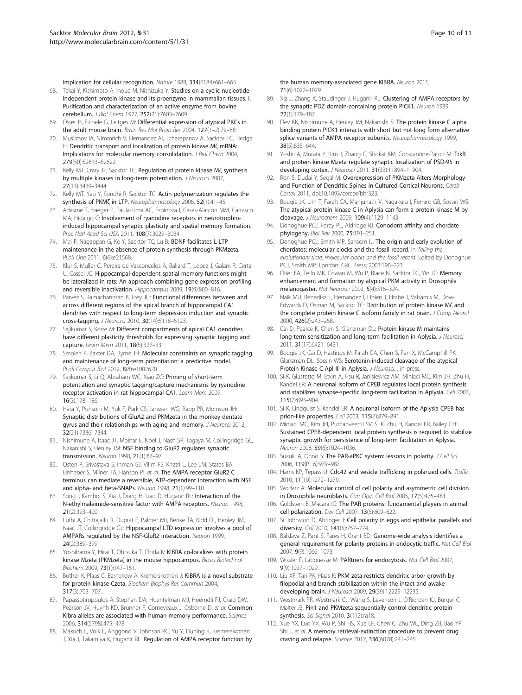implication for cellular recognition. Nature 1988, 334(6184):661–665.

- <span id="page-9-0"></span>68. Takai Y, Kishimoto A, Inoue M, Nishizuka Y: Studies on a cyclic nucleotideindependent protein kinase and its proenzyme in mammalian tissues. I. Purification and characterization of an active enzyme from bovine cerebellum. J Biol Chem 1977, 252(21):7603–7609.
- 69. Oster H, Eichele G, Leitges M: Differential expression of atypical PKCs in the adult mouse brain. Brain Res Mol Brain Res 2004, 127(1–2):79–88.
- 70. Muslimov IA, Nimmrich V, Hernandez AI, Tcherepanov A, Sacktor TC, Tiedge H: Dendritic transport and localization of protein kinase Mζ mRNA: Implications for molecular memory consolidation. J Biol Chem 2004, 279(50):52613–52622.
- 71. Kelly MT, Crary JF, Sacktor TC: Regulation of protein kinase Mζ synthesis by multiple kinases in long-term potentiation. *J Neurosci* 2007, 27(13):3439–3444.
- 72. Kelly MT, Yao Y, Sondhi R, Sacktor TC: Actin polymerization regulates the synthesis of PKMζ in LTP. Neuropharmacology 2006, 52(1):41-45.
- 73. Adasme T, Haeger P, Paula-Lima AC, Espinoza I, Casas-Alarcon MM, Carrasco MA, Hidalgo C: Involvement of ryanodine receptors in neurotrophininduced hippocampal synaptic plasticity and spatial memory formation. Proc Natl Acad Sci USA 2011, 108(7):3029–3034.
- 74. Mei F, Nagappan G, Ke Y, Sacktor TC, Lu B: BDNF facilitates L-LTP maintenance in the absence of protein synthesis through PKMzeta. PLoS One 2011, 6(6):e21568.
- 75. Klur S, Muller C, Pereira de Vasconcelos A, Ballard T, Lopez J, Galani R, Certa U, Cassel JC: Hippocampal-dependent spatial memory functions might be lateralized in rats: An approach combining gene expression profiling and reversible inactivation. Hippocampus 2009, 19(9):800–816.
- 76. Parvez S, Ramachandran B, Frey JU: Functional differences between and across different regions of the apical branch of hippocampal CA1 dendrites with respect to long-term depression induction and synaptic cross-tagging. J Neurosci 2010, 30(14):5118–5123.
- 77. Sajikumar S, Korte M: Different compartments of apical CA1 dendrites have different plasticity thresholds for expressing synaptic tagging and capture. Learn Mem 2011, 18(5):327–331.
- 78. Smolen P, Baxter DA, Byrne JH: Molecular constraints on synaptic tagging and maintenance of long-term potentiation: a predictive model. PLoS Comput Biol 2012, 8(8):e1002620.
- 79. Sajikumar S, Li Q, Abraham WC, Xiao ZC: Priming of short-term potentiation and synaptic tagging/capture mechanisms by ryanodine receptor activation in rat hippocampal CA1. Learn Mem 2009, 16(3):178–186.
- 80. Hara Y, Punsoni M, Yuk F, Park CS, Janssen WG, Rapp PR, Morrison JH: Synaptic distributions of GluA2 and PKMzeta in the monkey dentate gyrus and their relationships with aging and memory. J Neurosci 2012, 32(21):7336–7344.
- 81. Nishimune A, Isaac JT, Molnar E, Noel J, Nash SR, Tagaya M, Collingridge GL, Nakanishi S, Henley JM: NSF binding to GluR2 regulates synaptic transmission. Neuron 1998, 21(1):87–97.
- 82. Osten P, Srivastava S, Inman GJ, Vilim FS, Khatri L, Lee LM, States BA, Einheber S, Milner TA, Hanson PI, et al: The AMPA receptor GluR2 C terminus can mediate a reversible, ATP-dependent interaction with NSF and alpha- and beta-SNAPs. Neuron 1998, 21(1):99–110.
- 83. Song I, Kamboj S, Xia J, Dong H, Liao D, Huganir RL: Interaction of the N-ethylmaleimide-sensitive factor with AMPA receptors. Neuron 1998, 21(2):393–400.
- 84. Luthi A, Chittajallu R, Duprat F, Palmer MJ, Benke TA, Kidd FL, Henley JM, Isaac JT, Collingridge GL: Hippocampal LTD expression involves a pool of AMPARs regulated by the NSF-GluR2 interaction. Neuron 1999, 24(2):389–399.
- 85. Yoshihama Y, Hirai T, Ohtsuka T, Chida K: KIBRA co-localizes with protein kinase Mzeta (PKMzeta) in the mouse hippocampus. Biosci Biotechnol Biochem 2009, 73(1):147–151.
- 86. Buther K, Plaas C, Barnekow A, Kremerskothen J: KIBRA is a novel substrate for protein kinase Czeta. Biochem Biophys Res Commun 2004, 317(3):703–707.
- 87. Papassotiropoulos A, Stephan DA, Huentelman MJ, Hoerndli FJ, Craig DW, Pearson JV, Huynh KD, Brunner F, Corneveaux J, Osborne D, et al: Common Kibra alleles are associated with human memory performance. Science 2006, 314(5798):475–478.
- 88. Makuch L, Volk L, Anggono V, Johnson RC, Yu Y, Duning K, Kremerskothen J, Xia J, Takamiya K, Huganir RL: Regulation of AMPA receptor function by

the human memory-associated gene KIBRA. Neuron 2011, 71(6):1022–1029.

- 89. Xia J, Zhang X, Staudinger J, Huganir RL: Clustering of AMPA receptors by the synaptic PDZ domain-containing protein PICK1. Neuron 1999, 22(1):179–187.
- 90. Dev KK, Nishimune A, Henley JM, Nakanishi S: The protein kinase C alpha binding protein PICK1 interacts with short but not long form alternative splice variants of AMPA receptor subunits. Neuropharmacology 1999, 38(5):635–644.
- 91. Yoshii A, Murata Y, Kim J, Zhang C, Shokat KM, Constantine-Paton M: TrkB and protein kinase Mzeta regulate synaptic localization of PSD-95 in developing cortex. J Neurosci 2011, 31(33):11894–11904.
- 92. Ron S, Dudai Y, Segal M: Overexpression of PKMzeta Alters Morphology and Function of Dendritic Spines in Cultured Cortical Neurons. Cereb Cortex 2011, doi:[10.1093/cercor/bhr323.](http://dx.doi.org/10.1093/cercor/bhr323)
- 93. Bougie JK, Lim T, Farah CA, Manjunath V, Nagakura I, Ferraro GB, Sossin WS: The atypical protein kinase C in Aplysia can form a protein kinase M by cleavage. J Neurochem 2009, 109(4):1129–1143.
- 94. Donoghue PCJ, Forey PL, Aldridge RJ: Conodont affinity and chordate phylogeny. Biol Rev 2000, 75:191–251.
- 95. Donoghue PCJ, Smith MP, Sansom IJ: The origin and early evolution of chordates: molecular clocks and the fossil record. In Telling the evolutionary time: molecular clocks and the fossil record. Edited by Donoghue PCJ, Smith MP. London: CRC Press; 2003:190–223.
- 96. Drier EA, Tello MK, Cowan M, Wu P, Blace N, Sacktor TC, Yin JC: Memory enhancement and formation by atypical PKM activity in Drosophila melanogaster. Nat Neurosci 2002, 5(4):316–324.
- 97. Naik MU, Benedikz E, Hernandez I, Libien J, Hrabe J, Valsamis M, Dow-Edwards D, Osman M, Sacktor TC: Distribution of protein kinase Mζ and the complete protein kinase C isoform family in rat brain. J Comp Neurol 2000, 426(2):243–258.
- 98. Cai D, Pearce K, Chen S, Glanzman DL: Protein kinase M maintains long-term sensitization and long-term facilitation in Aplysia. J Neurosci 2011, 31(17):6421–6431.
- 99. Bougie JK, Cai D, Hastings M, Farah CA, Chen S, Fan X, McCamphill PK, Glanzman DL, Sossin WS: Serotonin-induced cleavage of the atypical Protein Kinase C Apl III in Aplysia. J Neurosci, . in press.
- 100. Si K, Giustetto M, Etkin A, Hsu R, Janisiewicz AM, Miniaci MC, Kim JH, Zhu H, Kandel ER: A neuronal isoform of CPEB regulates local protein synthesis and stabilizes synapse-specific long-term facilitation in Aplysia. Cell 2003, 115(7):893–904.
- 101. Si K, Lindquist S, Kandel ER: A neuronal isoform of the Aplysia CPEB has prion-like properties. Cell 2003, 115(7):879–891.
- 102. Miniaci MC, Kim JH, Puthanveettil SV, Si K, Zhu H, Kandel ER, Bailey CH: Sustained CPEB-dependent local protein synthesis is required to stabilize synaptic growth for persistence of long-term facilitation in Aplysia. Neuron 2008, 59(6):1024–1036.
- 103. Suzuki A, Ohno S: The PAR-aPKC system: lessons in polarity. J Cell Sci 2006, 119(Pt 6):979–987.
- 104. Harris KP, Tepass U: Cdc42 and vesicle trafficking in polarized cells. Traffic 2010, 11(10):1272–1279.
- 105. Wodarz A: Molecular control of cell polarity and asymmetric cell division in Drosophila neuroblasts. Curr Opin Cell Biol 2005, 17(5):475–481.
- 106. Goldstein B, Macara IG: The PAR proteins: fundamental players in animal cell polarization. Dev Cell 2007, 13(5):609–622.
- 107. St Johnston D, Ahringer J: Cell polarity in eggs and epithelia: parallels and diversity. Cell 2010, 141(5):757–774.
- 108. Balklava Z, Pant S, Fares H, Grant BD: Genome-wide analysis identifies a general requirement for polarity proteins in endocytic traffic. Nat Cell Biol 2007, 9(9):1066–1073.
- 109. Wissler F, Labouesse M: PARtners for endocytosis. Nat Cell Biol 2007, 9(9):1027–1029.
- 110. Liu XF, Tari PK, Haas K: PKM zeta restricts dendritic arbor growth by filopodial and branch stabilization within the intact and awake developing brain. J Neurosci 2009, 29(39):12229–12235.
- 111. Westmark PR, Westmark CJ, Wang S, Levenson J, O'Riordan KJ, Burger C, Malter JS: Pin1 and PKMzeta sequentially control dendritic protein synthesis. Sci Signal 2010, 3(112):ra18.
- 112. Xue YX, Luo YX, Wu P, Shi HS, Xue LF, Chen C, Zhu WL, Ding ZB, Bao YP, Shi J, et al: A memory retrieval-extinction procedure to prevent drug craving and relapse. Science 2012, 336(6078):241–245.